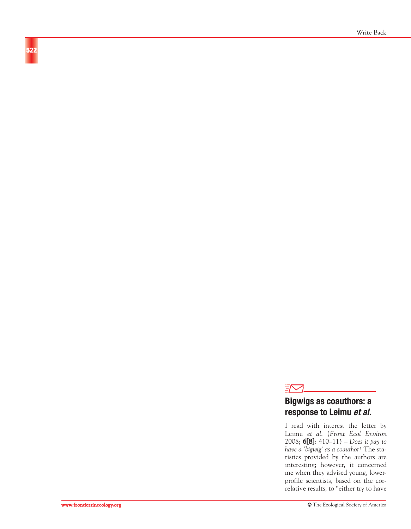

# **Bigwigs as coauthors: a response to Leimu et al.**

I read with interest the letter by Leimu *et al*. (*Front Ecol Environ* 2008; **6[8]**: 410–11) – *Does it pay to have a 'bigwig' as a coauthor?* The statistics provided by the authors are interesting; however, it concerned me when they advised young, lowerprofile scientists, based on the correlative results, to "either try to have